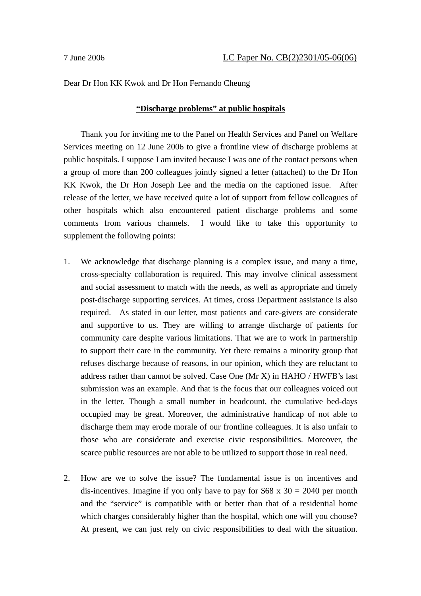### Dear Dr Hon KK Kwok and Dr Hon Fernando Cheung

# **"Discharge problems" at public hospitals**

Thank you for inviting me to the Panel on Health Services and Panel on Welfare Services meeting on 12 June 2006 to give a frontline view of discharge problems at public hospitals. I suppose I am invited because I was one of the contact persons when a group of more than 200 colleagues jointly signed a letter (attached) to the Dr Hon KK Kwok, the Dr Hon Joseph Lee and the media on the captioned issue. After release of the letter, we have received quite a lot of support from fellow colleagues of other hospitals which also encountered patient discharge problems and some comments from various channels. I would like to take this opportunity to supplement the following points:

- 1. We acknowledge that discharge planning is a complex issue, and many a time, cross-specialty collaboration is required. This may involve clinical assessment and social assessment to match with the needs, as well as appropriate and timely post-discharge supporting services. At times, cross Department assistance is also required. As stated in our letter, most patients and care-givers are considerate and supportive to us. They are willing to arrange discharge of patients for community care despite various limitations. That we are to work in partnership to support their care in the community. Yet there remains a minority group that refuses discharge because of reasons, in our opinion, which they are reluctant to address rather than cannot be solved. Case One (Mr X) in HAHO / HWFB's last submission was an example. And that is the focus that our colleagues voiced out in the letter. Though a small number in headcount, the cumulative bed-days occupied may be great. Moreover, the administrative handicap of not able to discharge them may erode morale of our frontline colleagues. It is also unfair to those who are considerate and exercise civic responsibilities. Moreover, the scarce public resources are not able to be utilized to support those in real need.
- 2. How are we to solve the issue? The fundamental issue is on incentives and dis-incentives. Imagine if you only have to pay for  $$68 \times 30 = 2040$  per month and the "service" is compatible with or better than that of a residential home which charges considerably higher than the hospital, which one will you choose? At present, we can just rely on civic responsibilities to deal with the situation.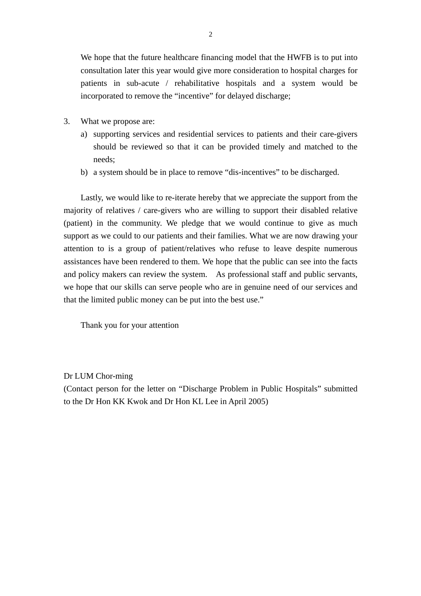We hope that the future healthcare financing model that the HWFB is to put into consultation later this year would give more consideration to hospital charges for patients in sub-acute / rehabilitative hospitals and a system would be incorporated to remove the "incentive" for delayed discharge;

- 3. What we propose are:
	- a) supporting services and residential services to patients and their care-givers should be reviewed so that it can be provided timely and matched to the needs;
	- b) a system should be in place to remove "dis-incentives" to be discharged.

Lastly, we would like to re-iterate hereby that we appreciate the support from the majority of relatives / care-givers who are willing to support their disabled relative (patient) in the community. We pledge that we would continue to give as much support as we could to our patients and their families. What we are now drawing your attention to is a group of patient/relatives who refuse to leave despite numerous assistances have been rendered to them. We hope that the public can see into the facts and policy makers can review the system. As professional staff and public servants, we hope that our skills can serve people who are in genuine need of our services and that the limited public money can be put into the best use."

Thank you for your attention

Dr LUM Chor-ming

(Contact person for the letter on "Discharge Problem in Public Hospitals" submitted to the Dr Hon KK Kwok and Dr Hon KL Lee in April 2005)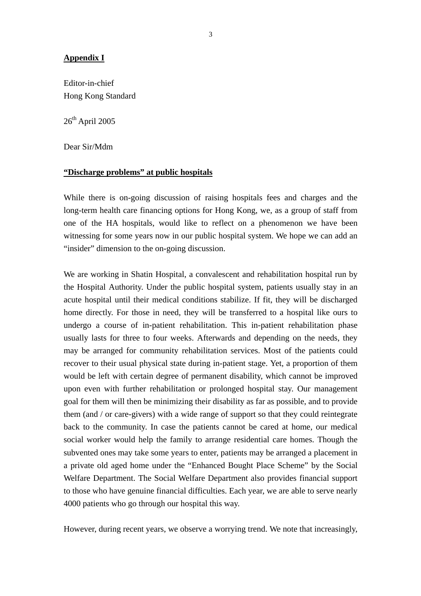# **Appendix I**

Editor-in-chief Hong Kong Standard

 $26<sup>th</sup>$  April 2005

Dear Sir/Mdm

### **"Discharge problems" at public hospitals**

While there is on-going discussion of raising hospitals fees and charges and the long-term health care financing options for Hong Kong, we, as a group of staff from one of the HA hospitals, would like to reflect on a phenomenon we have been witnessing for some years now in our public hospital system. We hope we can add an "insider" dimension to the on-going discussion.

We are working in Shatin Hospital, a convalescent and rehabilitation hospital run by the Hospital Authority. Under the public hospital system, patients usually stay in an acute hospital until their medical conditions stabilize. If fit, they will be discharged home directly. For those in need, they will be transferred to a hospital like ours to undergo a course of in-patient rehabilitation. This in-patient rehabilitation phase usually lasts for three to four weeks. Afterwards and depending on the needs, they may be arranged for community rehabilitation services. Most of the patients could recover to their usual physical state during in-patient stage. Yet, a proportion of them would be left with certain degree of permanent disability, which cannot be improved upon even with further rehabilitation or prolonged hospital stay. Our management goal for them will then be minimizing their disability as far as possible, and to provide them (and / or care-givers) with a wide range of support so that they could reintegrate back to the community. In case the patients cannot be cared at home, our medical social worker would help the family to arrange residential care homes. Though the subvented ones may take some years to enter, patients may be arranged a placement in a private old aged home under the "Enhanced Bought Place Scheme" by the Social Welfare Department. The Social Welfare Department also provides financial support to those who have genuine financial difficulties. Each year, we are able to serve nearly 4000 patients who go through our hospital this way.

However, during recent years, we observe a worrying trend. We note that increasingly,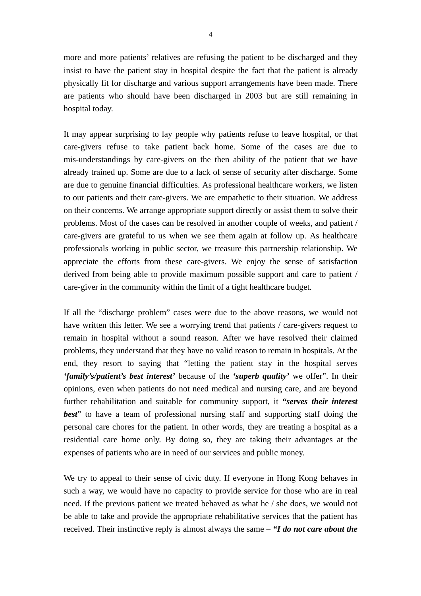more and more patients' relatives are refusing the patient to be discharged and they insist to have the patient stay in hospital despite the fact that the patient is already physically fit for discharge and various support arrangements have been made. There are patients who should have been discharged in 2003 but are still remaining in hospital today.

It may appear surprising to lay people why patients refuse to leave hospital, or that care-givers refuse to take patient back home. Some of the cases are due to mis-understandings by care-givers on the then ability of the patient that we have already trained up. Some are due to a lack of sense of security after discharge. Some are due to genuine financial difficulties. As professional healthcare workers, we listen to our patients and their care-givers. We are empathetic to their situation. We address on their concerns. We arrange appropriate support directly or assist them to solve their problems. Most of the cases can be resolved in another couple of weeks, and patient / care-givers are grateful to us when we see them again at follow up. As healthcare professionals working in public sector, we treasure this partnership relationship. We appreciate the efforts from these care-givers. We enjoy the sense of satisfaction derived from being able to provide maximum possible support and care to patient / care-giver in the community within the limit of a tight healthcare budget.

If all the "discharge problem" cases were due to the above reasons, we would not have written this letter. We see a worrying trend that patients / care-givers request to remain in hospital without a sound reason. After we have resolved their claimed problems, they understand that they have no valid reason to remain in hospitals. At the end, they resort to saying that "letting the patient stay in the hospital serves *'family's/patient's best interest'* because of the *'superb quality'* we offer". In their opinions, even when patients do not need medical and nursing care, and are beyond further rehabilitation and suitable for community support, it *"serves their interest best*" to have a team of professional nursing staff and supporting staff doing the personal care chores for the patient. In other words, they are treating a hospital as a residential care home only. By doing so, they are taking their advantages at the expenses of patients who are in need of our services and public money.

We try to appeal to their sense of civic duty. If everyone in Hong Kong behaves in such a way, we would have no capacity to provide service for those who are in real need. If the previous patient we treated behaved as what he / she does, we would not be able to take and provide the appropriate rehabilitative services that the patient has received. Their instinctive reply is almost always the same – *"I do not care about the*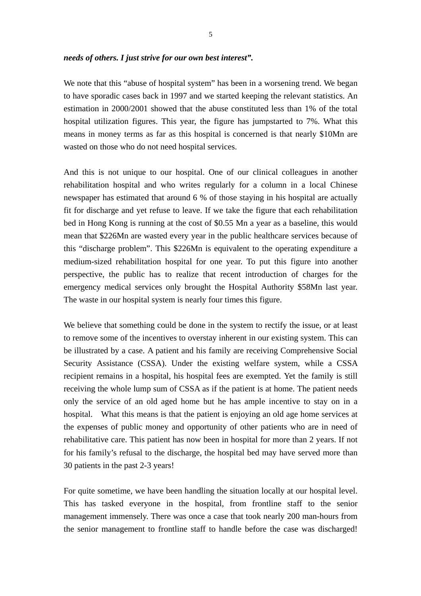#### *needs of others. I just strive for our own best interest".*

We note that this "abuse of hospital system" has been in a worsening trend. We began to have sporadic cases back in 1997 and we started keeping the relevant statistics. An estimation in 2000/2001 showed that the abuse constituted less than 1% of the total hospital utilization figures. This year, the figure has jumpstarted to 7%. What this means in money terms as far as this hospital is concerned is that nearly \$10Mn are wasted on those who do not need hospital services.

And this is not unique to our hospital. One of our clinical colleagues in another rehabilitation hospital and who writes regularly for a column in a local Chinese newspaper has estimated that around 6 % of those staying in his hospital are actually fit for discharge and yet refuse to leave. If we take the figure that each rehabilitation bed in Hong Kong is running at the cost of \$0.55 Mn a year as a baseline, this would mean that \$226Mn are wasted every year in the public healthcare services because of this "discharge problem". This \$226Mn is equivalent to the operating expenditure a medium-sized rehabilitation hospital for one year. To put this figure into another perspective, the public has to realize that recent introduction of charges for the emergency medical services only brought the Hospital Authority \$58Mn last year. The waste in our hospital system is nearly four times this figure.

We believe that something could be done in the system to rectify the issue, or at least to remove some of the incentives to overstay inherent in our existing system. This can be illustrated by a case. A patient and his family are receiving Comprehensive Social Security Assistance (CSSA). Under the existing welfare system, while a CSSA recipient remains in a hospital, his hospital fees are exempted. Yet the family is still receiving the whole lump sum of CSSA as if the patient is at home. The patient needs only the service of an old aged home but he has ample incentive to stay on in a hospital. What this means is that the patient is enjoying an old age home services at the expenses of public money and opportunity of other patients who are in need of rehabilitative care. This patient has now been in hospital for more than 2 years. If not for his family's refusal to the discharge, the hospital bed may have served more than 30 patients in the past 2-3 years!

For quite sometime, we have been handling the situation locally at our hospital level. This has tasked everyone in the hospital, from frontline staff to the senior management immensely. There was once a case that took nearly 200 man-hours from the senior management to frontline staff to handle before the case was discharged!